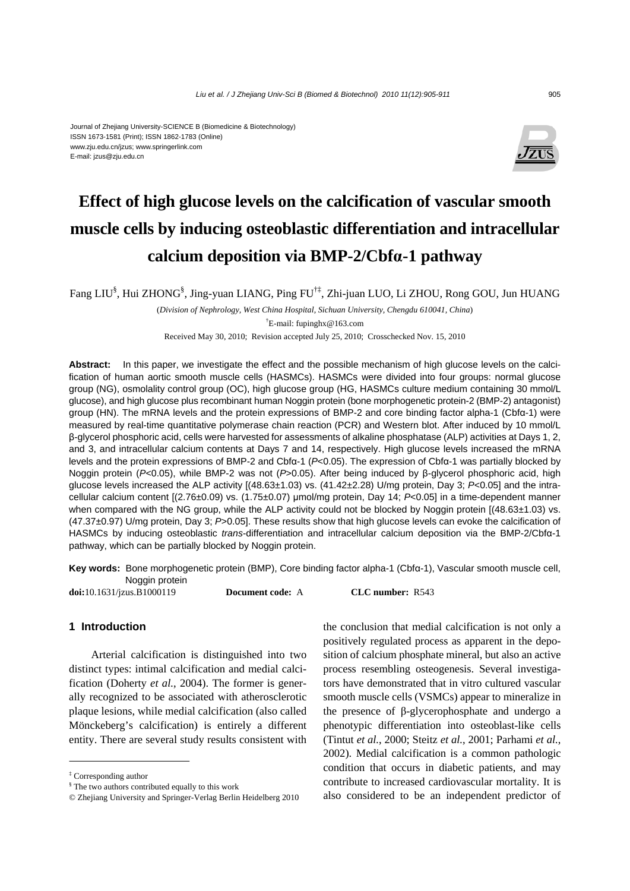#### Journal of Zhejiang University-SCIENCE B (Biomedicine & Biotechnology) ISSN 1673-1581 (Print); ISSN 1862-1783 (Online) www.zju.edu.cn/jzus; www.springerlink.com E-mail: jzus@zju.edu.cn



# **Effect of high glucose levels on the calcification of vascular smooth muscle cells by inducing osteoblastic differentiation and intracellular calcium deposition via BMP-2/Cbfα-1 pathway**

Fang LIU§ , Hui ZHONG§ , Jing-yuan LIANG, Ping FU†‡, Zhi-juan LUO, Li ZHOU, Rong GOU, Jun HUANG

(*Division of Nephrology, West China Hospital, Sichuan University, Chengdu 610041, China*)

† E-mail: fupinghx@163.com

Received May 30, 2010; Revision accepted July 25, 2010; Crosschecked Nov. 15, 2010

**Abstract:** In this paper, we investigate the effect and the possible mechanism of high glucose levels on the calcification of human aortic smooth muscle cells (HASMCs). HASMCs were divided into four groups: normal glucose group (NG), osmolality control group (OC), high glucose group (HG, HASMCs culture medium containing 30 mmol/L glucose), and high glucose plus recombinant human Noggin protein (bone morphogenetic protein-2 (BMP-2) antagonist) group (HN). The mRNA levels and the protein expressions of BMP-2 and core binding factor alpha-1 (Cbfα-1) were measured by real-time quantitative polymerase chain reaction (PCR) and Western blot. After induced by 10 mmol/L β-glycerol phosphoric acid, cells were harvested for assessments of alkaline phosphatase (ALP) activities at Days 1, 2, and 3, and intracellular calcium contents at Days 7 and 14, respectively. High glucose levels increased the mRNA levels and the protein expressions of BMP-2 and Cbfα-1 (*P*<0.05). The expression of Cbfα-1 was partially blocked by Noggin protein (*P*<0.05), while BMP-2 was not (*P*>0.05). After being induced by β-glycerol phosphoric acid, high glucose levels increased the ALP activity [(48.63±1.03) vs. (41.42±2.28) U/mg protein, Day 3; *P*<0.05] and the intracellular calcium content [(2.76±0.09) vs. (1.75±0.07) μmol/mg protein, Day 14; *P*<0.05] in a time-dependent manner when compared with the NG group, while the ALP activity could not be blocked by Noggin protein [(48.63±1.03) vs. (47.37±0.97) U/mg protein, Day 3; *P*>0.05]. These results show that high glucose levels can evoke the calcification of HASMCs by inducing osteoblastic *trans*-differentiation and intracellular calcium deposition via the BMP-2/Cbfα-1 pathway, which can be partially blocked by Noggin protein.

**Key words:** Bone morphogenetic protein (BMP), Core binding factor alpha-1 (Cbfα-1), Vascular smooth muscle cell, Noggin protein

**doi:**10.1631/jzus.B1000119 **Document code:** A **CLC number:** R543

#### **1 Introduction**

Arterial calcification is distinguished into two distinct types: intimal calcification and medial calcification (Doherty *et al.*, 2004). The former is generally recognized to be associated with atherosclerotic plaque lesions, while medial calcification (also called Mönckeberg's calcification) is entirely a different entity. There are several study results consistent with the conclusion that medial calcification is not only a positively regulated process as apparent in the deposition of calcium phosphate mineral, but also an active process resembling osteogenesis. Several investigators have demonstrated that in vitro cultured vascular smooth muscle cells (VSMCs) appear to mineralize in the presence of β-glycerophosphate and undergo a phenotypic differentiation into osteoblast-like cells (Tintut *et al.*, 2000; Steitz *et al.*, 2001; Parhami *et al.*, 2002). Medial calcification is a common pathologic condition that occurs in diabetic patients, and may contribute to increased cardiovascular mortality. It is also considered to be an independent predictor of

<sup>‡</sup> Corresponding author

<sup>§</sup> The two authors contributed equally to this work

<sup>©</sup> Zhejiang University and Springer-Verlag Berlin Heidelberg 2010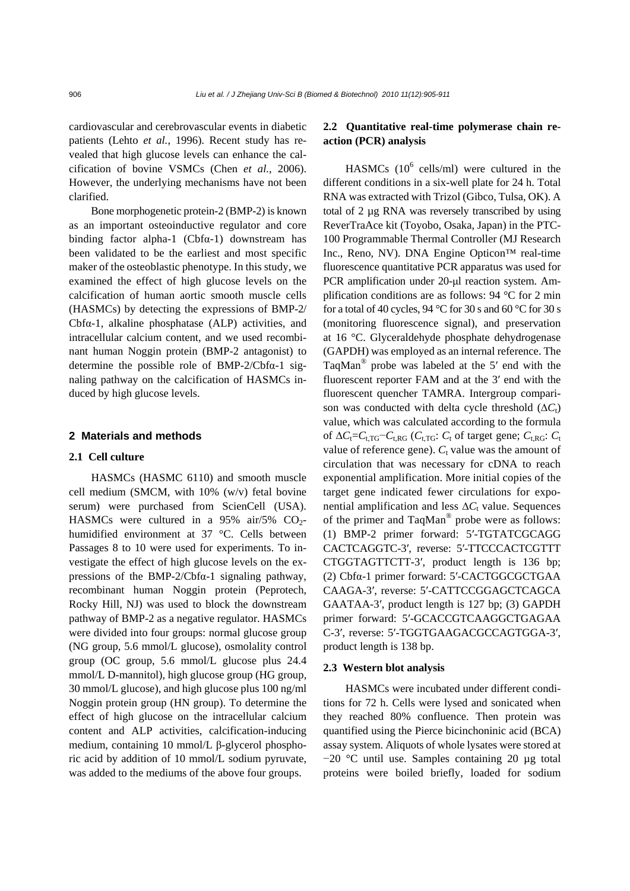cardiovascular and cerebrovascular events in diabetic patients (Lehto *et al.*, 1996). Recent study has revealed that high glucose levels can enhance the calcification of bovine VSMCs (Chen *et al.*, 2006). However, the underlying mechanisms have not been clarified.

Bone morphogenetic protein-2 (BMP-2) is known as an important osteoinductive regulator and core binding factor alpha-1 ( $Cbf_1$ ) downstream has been validated to be the earliest and most specific maker of the osteoblastic phenotype. In this study, we examined the effect of high glucose levels on the calcification of human aortic smooth muscle cells (HASMCs) by detecting the expressions of BMP-2/ Cbfα-1, alkaline phosphatase (ALP) activities, and intracellular calcium content, and we used recombinant human Noggin protein (BMP-2 antagonist) to determine the possible role of BMP-2/Cbfα-1 signaling pathway on the calcification of HASMCs induced by high glucose levels.

#### **2 Materials and methods**

### **2.1 Cell culture**

HASMCs (HASMC 6110) and smooth muscle cell medium (SMCM, with 10% (w/v) fetal bovine serum) were purchased from ScienCell (USA). HASMCs were cultured in a  $95\%$  air/5% CO<sub>2</sub>humidified environment at 37 °C. Cells between Passages 8 to 10 were used for experiments. To investigate the effect of high glucose levels on the expressions of the BMP-2/Cbfα-1 signaling pathway, recombinant human Noggin protein (Peprotech, Rocky Hill, NJ) was used to block the downstream pathway of BMP-2 as a negative regulator. HASMCs were divided into four groups: normal glucose group (NG group, 5.6 mmol/L glucose), osmolality control group (OC group, 5.6 mmol/L glucose plus 24.4 mmol/L D-mannitol), high glucose group (HG group, 30 mmol/L glucose), and high glucose plus 100 ng/ml Noggin protein group (HN group). To determine the effect of high glucose on the intracellular calcium content and ALP activities, calcification-inducing medium, containing 10 mmol/L β-glycerol phosphoric acid by addition of 10 mmol/L sodium pyruvate, was added to the mediums of the above four groups.

# **2.2 Quantitative real-time polymerase chain reaction (PCR) analysis**

HASMCs  $(10^6 \text{ cells/ml})$  were cultured in the different conditions in a six-well plate for 24 h. Total RNA was extracted with Trizol (Gibco, Tulsa, OK). A total of 2 µg RNA was reversely transcribed by using ReverTraAce kit (Toyobo, Osaka, Japan) in the PTC-100 Programmable Thermal Controller (MJ Research Inc., Reno, NV). DNA Engine Opticon™ real-time fluorescence quantitative PCR apparatus was used for PCR amplification under 20-μl reaction system. Amplification conditions are as follows: 94 °C for 2 min for a total of 40 cycles, 94 °C for 30 s and 60 °C for 30 s (monitoring fluorescence signal), and preservation at 16 °C. Glyceraldehyde phosphate dehydrogenase (GAPDH) was employed as an internal reference. The TaqMan® probe was labeled at the 5′ end with the fluorescent reporter FAM and at the 3′ end with the fluorescent quencher TAMRA. Intergroup comparison was conducted with delta cycle threshold (Δ*C*<sub>t</sub>) value, which was calculated according to the formula of  $\Delta C$ <sub>t</sub>= $C$ <sub>t,TG</sub>− $C$ <sub>t,RG</sub> ( $C$ <sub>t,TG</sub>:  $C$ <sub>t</sub> of target gene;  $C$ <sub>t,RG</sub>:  $C$ <sub>t</sub> value of reference gene).  $C_t$  value was the amount of circulation that was necessary for cDNA to reach exponential amplification. More initial copies of the target gene indicated fewer circulations for exponential amplification and less  $\Delta C_t$  value. Sequences of the primer and TaqMan® probe were as follows: (1) BMP-2 primer forward: 5′-TGTATCGCAGG CACTCAGGTC-3′, reverse: 5′-TTCCCACTCGTTT CTGGTAGTTCTT-3′, product length is 136 bp; (2) Cbfα-1 primer forward: 5′-CACTGGCGCTGAA CAAGA-3′, reverse: 5′-CATTCCGGAGCTCAGCA GAATAA-3′, product length is 127 bp; (3) GAPDH primer forward: 5′-GCACCGTCAAGGCTGAGAA C-3′, reverse: 5′-TGGTGAAGACGCCAGTGGA-3′, product length is 138 bp.

#### **2.3 Western blot analysis**

HASMCs were incubated under different conditions for 72 h. Cells were lysed and sonicated when they reached 80% confluence. Then protein was quantified using the Pierce bicinchoninic acid (BCA) assay system. Aliquots of whole lysates were stored at −20 °C until use. Samples containing 20 µg total proteins were boiled briefly, loaded for sodium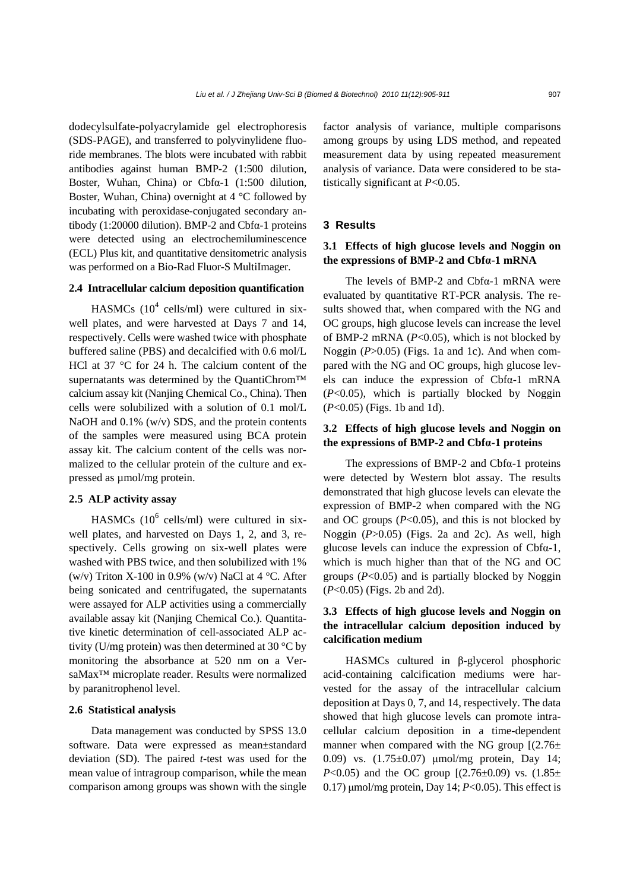dodecylsulfate-polyacrylamide gel electrophoresis (SDS-PAGE), and transferred to polyvinylidene fluoride membranes. The blots were incubated with rabbit antibodies against human BMP-2 (1:500 dilution, Boster, Wuhan, China) or Cbfα-1 (1:500 dilution, Boster, Wuhan, China) overnight at 4 °C followed by incubating with peroxidase-conjugated secondary antibody (1:20000 dilution). BMP-2 and Cbfα-1 proteins were detected using an electrochemiluminescence (ECL) Plus kit, and quantitative densitometric analysis was performed on a Bio-Rad Fluor-S MultiImager.

#### **2.4 Intracellular calcium deposition quantification**

HASMCs  $(10^4 \text{ cells/ml})$  were cultured in sixwell plates, and were harvested at Days 7 and 14, respectively. Cells were washed twice with phosphate buffered saline (PBS) and decalcified with 0.6 mol/L HCl at 37 °C for 24 h. The calcium content of the supernatants was determined by the QuantiChrom™ calcium assay kit (Nanjing Chemical Co., China). Then cells were solubilized with a solution of 0.1 mol/L NaOH and 0.1% (w/v) SDS, and the protein contents of the samples were measured using BCA protein assay kit. The calcium content of the cells was normalized to the cellular protein of the culture and expressed as µmol/mg protein.

## **2.5 ALP activity assay**

HASMCs  $(10^6 \text{ cells/ml})$  were cultured in sixwell plates, and harvested on Days 1, 2, and 3, respectively. Cells growing on six-well plates were washed with PBS twice, and then solubilized with 1% (w/v) Triton X-100 in 0.9% (w/v) NaCl at  $4^{\circ}$ C. After being sonicated and centrifugated, the supernatants were assayed for ALP activities using a commercially available assay kit (Nanjing Chemical Co.). Quantitative kinetic determination of cell-associated ALP activity (U/mg protein) was then determined at 30  $^{\circ}$ C by monitoring the absorbance at 520 nm on a VersaMax™ microplate reader. Results were normalized by paranitrophenol level.

#### **2.6 Statistical analysis**

Data management was conducted by SPSS 13.0 software. Data were expressed as mean±standard deviation (SD). The paired *t*-test was used for the mean value of intragroup comparison, while the mean comparison among groups was shown with the single factor analysis of variance, multiple comparisons among groups by using LDS method, and repeated measurement data by using repeated measurement analysis of variance. Data were considered to be statistically significant at *P*<0.05.

### **3 Results**

# **3.1 Effects of high glucose levels and Noggin on the expressions of BMP-2 and Cbfα-1 mRNA**

The levels of BMP-2 and Cbfα-1 mRNA were evaluated by quantitative RT-PCR analysis. The results showed that, when compared with the NG and OC groups, high glucose levels can increase the level of BMP-2 mRNA (*P*<0.05), which is not blocked by Noggin (*P*>0.05) (Figs. 1a and 1c). And when compared with the NG and OC groups, high glucose levels can induce the expression of Cbfα-1 mRNA (*P*<0.05), which is partially blocked by Noggin (*P*<0.05) (Figs. 1b and 1d).

# **3.2 Effects of high glucose levels and Noggin on the expressions of BMP-2 and Cbfα-1 proteins**

The expressions of BMP-2 and Cbfα-1 proteins were detected by Western blot assay. The results demonstrated that high glucose levels can elevate the expression of BMP-2 when compared with the NG and OC groups  $(P<0.05)$ , and this is not blocked by Noggin (*P*>0.05) (Figs. 2a and 2c). As well, high glucose levels can induce the expression of Cbfα-1, which is much higher than that of the NG and OC groups (*P*<0.05) and is partially blocked by Noggin (*P*<0.05) (Figs. 2b and 2d).

# **3.3 Effects of high glucose levels and Noggin on the intracellular calcium deposition induced by calcification medium**

HASMCs cultured in β-glycerol phosphoric acid-containing calcification mediums were harvested for the assay of the intracellular calcium deposition at Days 0, 7, and 14, respectively. The data showed that high glucose levels can promote intracellular calcium deposition in a time-dependent manner when compared with the NG group  $[(2.76 \pm$ 0.09) vs. (1.75±0.07) μmol/mg protein, Day 14; *P*<0.05) and the OC group  $[(2.76 \pm 0.09)$  vs.  $(1.85 \pm 0.09)$ 0.17)  $\mu$ mol/mg protein, Day 14; *P*<0.05). This effect is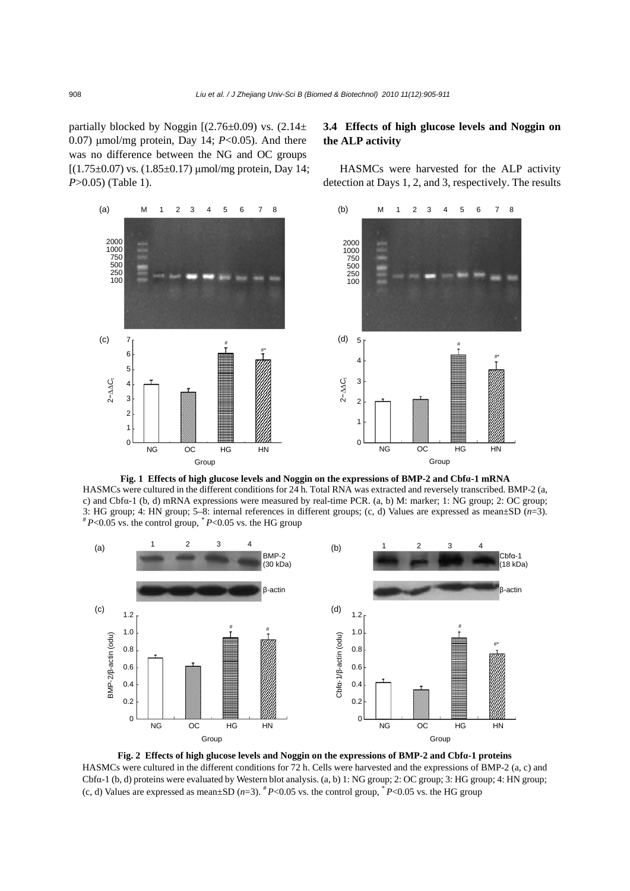partially blocked by Noggin  $[(2.76\pm0.09)$  vs.  $(2.14\pm$ 0.07) μmol/mg protein, Day 14; *P*<0.05). And there was no difference between the NG and OC groups  $[(1.75 \pm 0.07)$  vs.  $(1.85 \pm 0.17)$  μmol/mg protein, Day 14; *P*>0.05) (Table 1).

#### M 1 2 3 4 5 6 7 8 2000 1000 750 500 250  $100$ # #\* M 1 2 3 4 5 6 7 8 2000 1000 750 500 250  $10<sup>°</sup>$ # #\* (a) (c) (b) (d) NG OC HG HN 7 6 5 4 3 2 1  $\mathbf{0}$ Group 5 4 3 2 1  $\Omega$ NG OC HG HN Group 2−∆∆ *C*<sup>t</sup> 2−∆∆ *C*<sup>t</sup>

**Fig. 1 Effects of high glucose levels and Noggin on the expressions of BMP-2 and Cbfα-1 mRNA** HASMCs were cultured in the different conditions for 24 h. Total RNA was extracted and reversely transcribed. BMP-2 (a, c) and Cbfα-1 (b, d) mRNA expressions were measured by real-time PCR. (a, b) M: marker; 1: NG group; 2: OC group; 3: HG group; 4: HN group; 5–8: internal references in different groups; (c, d) Values are expressed as mean±SD  $(n=3)$ .<br>#  $P<0.05$  vs. the control group, \*  $P<0.05$  vs. the HG group



**Fig. 2 Effects of high glucose levels and Noggin on the expressions of BMP-2 and Cbfα-1 proteins**  HASMCs were cultured in the different conditions for 72 h. Cells were harvested and the expressions of BMP-2 (a, c) and Cbfα-1 (b, d) proteins were evaluated by Western blot analysis. (a, b) 1: NG group; 2: OC group; 3: HG group; 4: HN group; (c, d) Values are expressed as mean $\pm$ SD ( $n=3$ ).  $^{#}P<0.05$  vs. the control group,  $^{*}P<0.05$  vs. the HG group

# **3.4 Effects of high glucose levels and Noggin on the ALP activity**

HASMCs were harvested for the ALP activity detection at Days 1, 2, and 3, respectively. The results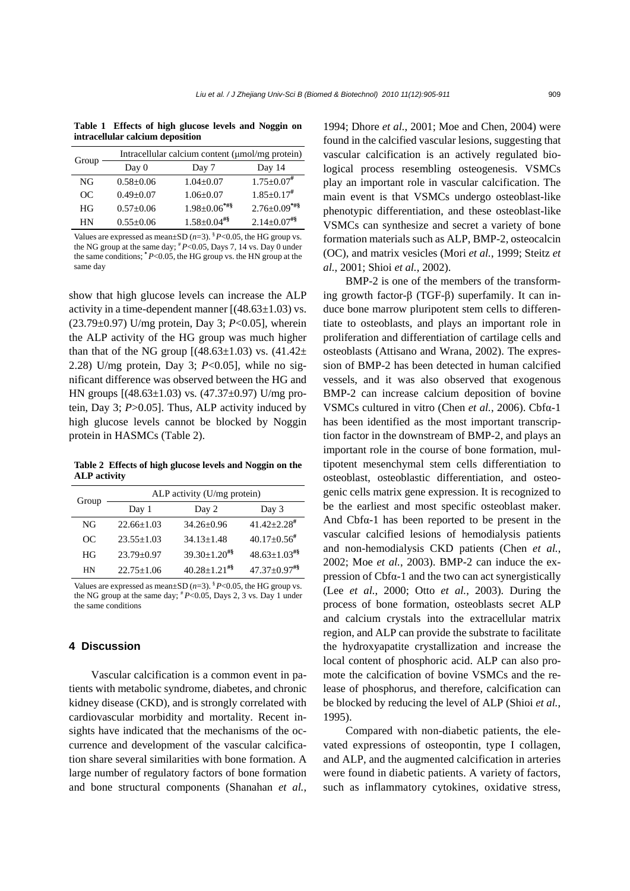**Table 1 Effects of high glucose levels and Noggin on intracellular calcium deposition**

| Group | Intracellular calcium content (µmol/mg protein) |                               |                               |  |  |  |
|-------|-------------------------------------------------|-------------------------------|-------------------------------|--|--|--|
|       | Day $0$                                         | Day 7                         | Day 14                        |  |  |  |
| NG    | $0.58 \pm 0.06$                                 | $1.04 \pm 0.07$               | $1.75 \pm 0.07$ #             |  |  |  |
| OC    | $0.49 \pm 0.07$                                 | $1.06 \pm 0.07$               | $1.85 \pm 0.17$ <sup>#</sup>  |  |  |  |
| HG    | $0.57 \pm 0.06$                                 | $1.98 \pm 0.06$ ***           | $2.76 \pm 0.09$ *#\$          |  |  |  |
| HN    | $0.55 \pm 0.06$                                 | $1.58 \pm 0.04$ <sup>#§</sup> | $2.14 \pm 0.07$ <sup>#§</sup> |  |  |  |
|       |                                                 |                               |                               |  |  |  |

Values are expressed as mean $\pm$ SD (*n*=3), <sup>§</sup> *P*<0.05, the HG group vs. the NG group at the same day; # *P*<0.05, Days 7, 14 vs. Day 0 under the same conditions; **\*** *P*<0.05, the HG group vs. the HN group at the same day

show that high glucose levels can increase the ALP activity in a time-dependent manner  $[(48.63 \pm 1.03)$  vs. (23.79±0.97) U/mg protein, Day 3; *P*<0.05], wherein the ALP activity of the HG group was much higher than that of the NG group  $[(48.63 \pm 1.03)$  vs.  $(41.42 \pm$ 2.28) U/mg protein, Day 3; *P*<0.05], while no significant difference was observed between the HG and HN groups  $[(48.63 \pm 1.03)$  vs.  $(47.37 \pm 0.97)$  U/mg protein, Day 3; *P*>0.05]. Thus, ALP activity induced by high glucose levels cannot be blocked by Noggin protein in HASMCs (Table 2).

**Table 2 Effects of high glucose levels and Noggin on the ALP activity**

| Group | ALP activity $(U/mg)$ protein) |                                |                                |  |  |  |
|-------|--------------------------------|--------------------------------|--------------------------------|--|--|--|
|       | Day 1                          | Day 2                          | Day 3                          |  |  |  |
| NG    | $22.66 \pm 1.03$               | $34.26 + 0.96$                 | $41.42 + 2.28$ <sup>#</sup>    |  |  |  |
| OC.   | $23.55 \pm 1.03$               | $34.13 + 1.48$                 | $40.17+0.56^{\#}$              |  |  |  |
| HG    | $23.79 + 0.97$                 | $39.30 \pm 1.20$ <sup>#§</sup> | $48.63 \pm 1.03$ <sup>#§</sup> |  |  |  |
| НN    | $22.75 + 1.06$                 | $40.28 + 1.21$ #\$             | $47.37+0.97$ <sup>#§</sup>     |  |  |  |

Values are expressed as mean $\pm$ SD ( $n=3$ ). <sup>§</sup> *P*<0.05, the HG group vs. the NG group at the same day; # *P*<0.05, Days 2, 3 vs. Day 1 under the same conditions

# **4 Discussion**

Vascular calcification is a common event in patients with metabolic syndrome, diabetes, and chronic kidney disease (CKD), and is strongly correlated with cardiovascular morbidity and mortality. Recent insights have indicated that the mechanisms of the occurrence and development of the vascular calcification share several similarities with bone formation. A large number of regulatory factors of bone formation and bone structural components (Shanahan *et al.*, 1994; Dhore *et al.*, 2001; Moe and Chen, 2004) were found in the calcified vascular lesions, suggesting that vascular calcification is an actively regulated biological process resembling osteogenesis. VSMCs play an important role in vascular calcification. The main event is that VSMCs undergo osteoblast-like phenotypic differentiation, and these osteoblast-like VSMCs can synthesize and secret a variety of bone formation materials such as ALP, BMP-2, osteocalcin (OC), and matrix vesicles (Mori *et al.*, 1999; Steitz *et al.*, 2001; Shioi *et al.*, 2002).

BMP-2 is one of the members of the transforming growth factor-β (TGF-β) superfamily. It can induce bone marrow pluripotent stem cells to differentiate to osteoblasts, and plays an important role in proliferation and differentiation of cartilage cells and osteoblasts (Attisano and Wrana, 2002). The expression of BMP-2 has been detected in human calcified vessels, and it was also observed that exogenous BMP-2 can increase calcium deposition of bovine VSMCs cultured in vitro (Chen *et al.*, 2006). Cbfα-1 has been identified as the most important transcription factor in the downstream of BMP-2, and plays an important role in the course of bone formation, multipotent mesenchymal stem cells differentiation to osteoblast, osteoblastic differentiation, and osteogenic cells matrix gene expression. It is recognized to be the earliest and most specific osteoblast maker. And Cbfα-1 has been reported to be present in the vascular calcified lesions of hemodialysis patients and non-hemodialysis CKD patients (Chen *et al.*, 2002; Moe *et al.*, 2003). BMP-2 can induce the expression of Cbfα-1 and the two can act synergistically (Lee *et al.*, 2000; Otto *et al.*, 2003). During the process of bone formation, osteoblasts secret ALP and calcium crystals into the extracellular matrix region, and ALP can provide the substrate to facilitate the hydroxyapatite crystallization and increase the local content of phosphoric acid. ALP can also promote the calcification of bovine VSMCs and the release of phosphorus, and therefore, calcification can be blocked by reducing the level of ALP (Shioi *et al.*, 1995).

Compared with non-diabetic patients, the elevated expressions of osteopontin, type I collagen, and ALP, and the augmented calcification in arteries were found in diabetic patients. A variety of factors, such as inflammatory cytokines, oxidative stress,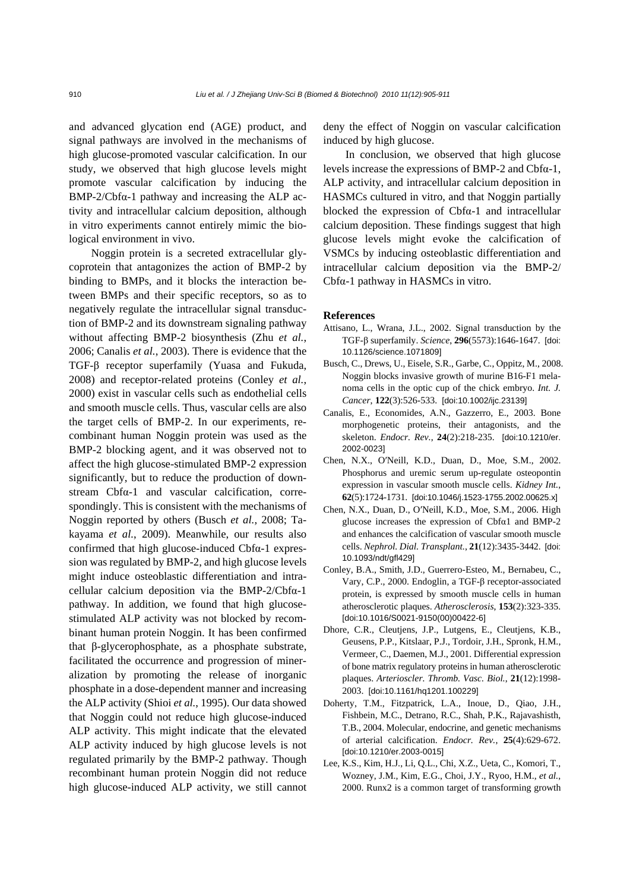and advanced glycation end (AGE) product, and signal pathways are involved in the mechanisms of high glucose-promoted vascular calcification. In our study, we observed that high glucose levels might promote vascular calcification by inducing the  $BMP-2/Cbfa-1$  pathway and increasing the ALP activity and intracellular calcium deposition, although in vitro experiments cannot entirely mimic the biological environment in vivo.

Noggin protein is a secreted extracellular glycoprotein that antagonizes the action of BMP-2 by binding to BMPs, and it blocks the interaction between BMPs and their specific receptors, so as to negatively regulate the intracellular signal transduction of BMP-2 and its downstream signaling pathway without affecting BMP-2 biosynthesis (Zhu *et al.*, 2006; Canalis *et al.*, 2003). There is evidence that the TGF-β receptor superfamily (Yuasa and Fukuda, 2008) and receptor-related proteins (Conley *et al.*, 2000) exist in vascular cells such as endothelial cells and smooth muscle cells. Thus, vascular cells are also the target cells of BMP-2. In our experiments, recombinant human Noggin protein was used as the BMP-2 blocking agent, and it was observed not to affect the high glucose-stimulated BMP-2 expression significantly, but to reduce the production of downstream Cbfα-1 and vascular calcification, correspondingly. This is consistent with the mechanisms of Noggin reported by others (Busch *et al.*, 2008; Takayama *et al.*, 2009). Meanwhile, our results also confirmed that high glucose-induced Cbfα-1 expression was regulated by BMP-2, and high glucose levels might induce osteoblastic differentiation and intracellular calcium deposition via the BMP-2/Cbfα-1 pathway. In addition, we found that high glucosestimulated ALP activity was not blocked by recombinant human protein Noggin. It has been confirmed that β-glycerophosphate, as a phosphate substrate, facilitated the occurrence and progression of mineralization by promoting the release of inorganic phosphate in a dose-dependent manner and increasing the ALP activity (Shioi *et al.*, 1995). Our data showed that Noggin could not reduce high glucose-induced ALP activity. This might indicate that the elevated ALP activity induced by high glucose levels is not regulated primarily by the BMP-2 pathway. Though recombinant human protein Noggin did not reduce high glucose-induced ALP activity, we still cannot deny the effect of Noggin on vascular calcification induced by high glucose.

In conclusion, we observed that high glucose levels increase the expressions of BMP-2 and Cbfα-1, ALP activity, and intracellular calcium deposition in HASMCs cultured in vitro, and that Noggin partially blocked the expression of Cbfα-1 and intracellular calcium deposition. These findings suggest that high glucose levels might evoke the calcification of VSMCs by inducing osteoblastic differentiation and intracellular calcium deposition via the BMP-2/ Cbfα-1 pathway in HASMCs in vitro.

#### **References**

- Attisano, L., Wrana, J.L., 2002. Signal transduction by the TGF-β superfamily. *Science*, **296**(5573):1646-1647. [doi: 10.1126/science.1071809]
- Busch, C., Drews, U., Eisele, S.R., Garbe, C., Oppitz, M., 2008. Noggin blocks invasive growth of murine B16-F1 melanoma cells in the optic cup of the chick embryo. *Int. J. Cancer*, **122**(3):526-533. [doi:10.1002/ijc.23139]
- Canalis, E., Economides, A.N., Gazzerro, E., 2003. Bone morphogenetic proteins, their antagonists, and the skeleton. *Endocr. Rev.*, **24**(2):218-235. [doi:10.1210/er. 2002-0023]
- Chen, N.X., O′Neill, K.D., Duan, D., Moe, S.M., 2002. Phosphorus and uremic serum up-regulate osteopontin expression in vascular smooth muscle cells. *Kidney Int.*, **62**(5):1724-1731. [doi:10.1046/j.1523-1755.2002.00625.x]
- Chen, N.X., Duan, D., O′Neill, K.D., Moe, S.M., 2006. High glucose increases the expression of Cbfα1 and BMP-2 and enhances the calcification of vascular smooth muscle cells. *Nephrol. Dial. Transplant.*, **21**(12):3435-3442. [doi: 10.1093/ndt/gfl429]
- Conley, B.A., Smith, J.D., Guerrero-Esteo, M., Bernabeu, C., Vary, C.P., 2000. Endoglin, a TGF-β receptor-associated protein, is expressed by smooth muscle cells in human atherosclerotic plaques. *Atherosclerosis*, **153**(2):323-335. [doi:10.1016/S0021-9150(00)00422-6]
- Dhore, C.R., Cleutjens, J.P., Lutgens, E., Cleutjens, K.B., Geusens, P.P., Kitslaar, P.J., Tordoir, J.H., Spronk, H.M., Vermeer, C., Daemen, M.J., 2001. Differential expression of bone matrix regulatory proteins in human atherosclerotic plaques. *Arterioscler. Thromb. Vasc. Biol.*, **21**(12):1998- 2003. [doi:10.1161/hq1201.100229]
- Doherty, T.M., Fitzpatrick, L.A., Inoue, D., Qiao, J.H., Fishbein, M.C., Detrano, R.C., Shah, P.K., Rajavashisth, T.B., 2004. Molecular, endocrine, and genetic mechanisms of arterial calcification. *Endocr. Rev.*, **25**(4):629-672. [doi:10.1210/er.2003-0015]
- Lee, K.S., Kim, H.J., Li, Q.L., Chi, X.Z., Ueta, C., Komori, T., Wozney, J.M., Kim, E.G., Choi, J.Y., Ryoo, H.M., *et al.*, 2000. Runx2 is a common target of transforming growth